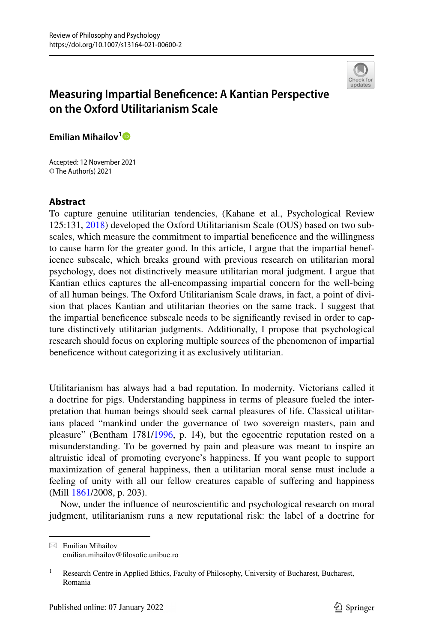

# **Measuring Impartial Benefcence: A Kantian Perspective on the Oxford Utilitarianism Scale**

**Emilian Mihailov[1](http://orcid.org/0000-0002-0221-7209)**

Accepted: 12 November 2021 © The Author(s) 2021

# **Abstract**

To capture genuine utilitarian tendencies, (Kahane et al., Psychological Review 125:131, [2018\)](#page-14-0) developed the Oxford Utilitarianism Scale (OUS) based on two subscales, which measure the commitment to impartial beneficence and the willingness to cause harm for the greater good. In this article, I argue that the impartial beneficence subscale, which breaks ground with previous research on utilitarian moral psychology, does not distinctively measure utilitarian moral judgment. I argue that Kantian ethics captures the all-encompassing impartial concern for the well-being of all human beings. The Oxford Utilitarianism Scale draws, in fact, a point of division that places Kantian and utilitarian theories on the same track. I suggest that the impartial benefcence subscale needs to be signifcantly revised in order to capture distinctively utilitarian judgments. Additionally, I propose that psychological research should focus on exploring multiple sources of the phenomenon of impartial benefcence without categorizing it as exclusively utilitarian.

Utilitarianism has always had a bad reputation. In modernity, Victorians called it a doctrine for pigs. Understanding happiness in terms of pleasure fueled the interpretation that human beings should seek carnal pleasures of life. Classical utilitarians placed "mankind under the governance of two sovereign masters, pain and pleasure" (Bentham 1781[/1996](#page-13-0), p. 14), but the egocentric reputation rested on a misunderstanding. To be governed by pain and pleasure was meant to inspire an altruistic ideal of promoting everyone's happiness. If you want people to support maximization of general happiness, then a utilitarian moral sense must include a feeling of unity with all our fellow creatures capable of sufering and happiness (Mill [1861](#page-14-1)/2008, p. 203).

Now, under the infuence of neuroscientifc and psychological research on moral judgment, utilitarianism runs a new reputational risk: the label of a doctrine for

 $\boxtimes$  Emilian Mihailov emilian.mihailov@flosofe.unibuc.ro

<sup>&</sup>lt;sup>1</sup> Research Centre in Applied Ethics, Faculty of Philosophy, University of Bucharest, Bucharest, Romania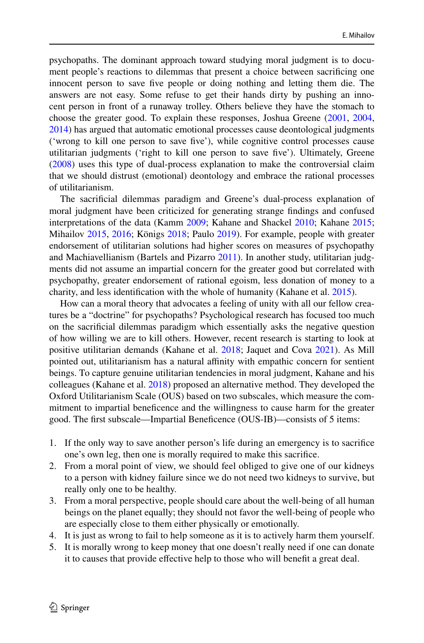psychopaths. The dominant approach toward studying moral judgment is to document people's reactions to dilemmas that present a choice between sacrifcing one innocent person to save fve people or doing nothing and letting them die. The answers are not easy. Some refuse to get their hands dirty by pushing an innocent person in front of a runaway trolley. Others believe they have the stomach to choose the greater good. To explain these responses, Joshua Greene ([2001,](#page-13-1) [2004,](#page-13-2) [2014](#page-13-3)) has argued that automatic emotional processes cause deontological judgments ('wrong to kill one person to save fve'), while cognitive control processes cause utilitarian judgments ('right to kill one person to save fve'). Ultimately, Greene [\(2008](#page-13-4)) uses this type of dual-process explanation to make the controversial claim that we should distrust (emotional) deontology and embrace the rational processes of utilitarianism.

The sacrifcial dilemmas paradigm and Greene's dual-process explanation of moral judgment have been criticized for generating strange fndings and confused interpretations of the data (Kamm [2009](#page-14-2); Kahane and Shackel [2010;](#page-14-3) Kahane [2015;](#page-14-4) Mihailov [2015,](#page-14-5) [2016](#page-14-6); Königs [2018;](#page-14-7) Paulo [2019](#page-14-8)). For example, people with greater endorsement of utilitarian solutions had higher scores on measures of psychopathy and Machiavellianism (Bartels and Pizarro [2011](#page-13-5)). In another study, utilitarian judgments did not assume an impartial concern for the greater good but correlated with psychopathy, greater endorsement of rational egoism, less donation of money to a charity, and less identifcation with the whole of humanity (Kahane et al. [2015](#page-14-9)).

How can a moral theory that advocates a feeling of unity with all our fellow creatures be a "doctrine" for psychopaths? Psychological research has focused too much on the sacrifcial dilemmas paradigm which essentially asks the negative question of how willing we are to kill others. However, recent research is starting to look at positive utilitarian demands (Kahane et al. [2018;](#page-14-0) Jaquet and Cova [2021\)](#page-14-10). As Mill pointed out, utilitarianism has a natural afnity with empathic concern for sentient beings. To capture genuine utilitarian tendencies in moral judgment, Kahane and his colleagues (Kahane et al. [2018\)](#page-14-0) proposed an alternative method. They developed the Oxford Utilitarianism Scale (OUS) based on two subscales, which measure the commitment to impartial benefcence and the willingness to cause harm for the greater good. The frst subscale—Impartial Benefcence (OUS-IB)—consists of 5 items:

- 1. If the only way to save another person's life during an emergency is to sacrifce one's own leg, then one is morally required to make this sacrifce.
- 2. From a moral point of view, we should feel obliged to give one of our kidneys to a person with kidney failure since we do not need two kidneys to survive, but really only one to be healthy.
- 3. From a moral perspective, people should care about the well-being of all human beings on the planet equally; they should not favor the well-being of people who are especially close to them either physically or emotionally.
- 4. It is just as wrong to fail to help someone as it is to actively harm them yourself.
- 5. It is morally wrong to keep money that one doesn't really need if one can donate it to causes that provide efective help to those who will beneft a great deal.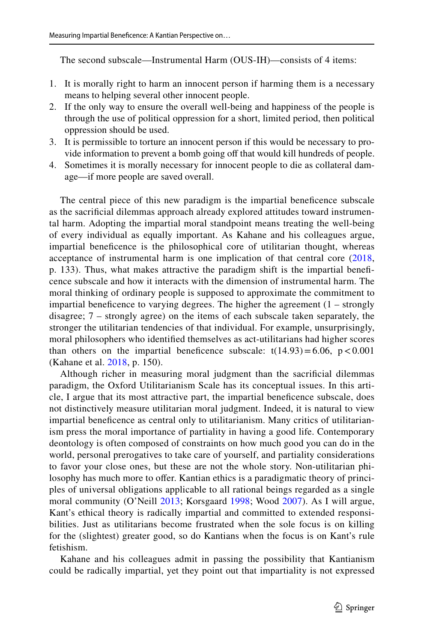The second subscale—Instrumental Harm (OUS-IH)—consists of 4 items:

- 1. It is morally right to harm an innocent person if harming them is a necessary means to helping several other innocent people.
- 2. If the only way to ensure the overall well-being and happiness of the people is through the use of political oppression for a short, limited period, then political oppression should be used.
- 3. It is permissible to torture an innocent person if this would be necessary to provide information to prevent a bomb going off that would kill hundreds of people.
- 4. Sometimes it is morally necessary for innocent people to die as collateral damage—if more people are saved overall.

The central piece of this new paradigm is the impartial beneficence subscale as the sacrifcial dilemmas approach already explored attitudes toward instrumental harm. Adopting the impartial moral standpoint means treating the well-being of every individual as equally important. As Kahane and his colleagues argue, impartial benefcence is the philosophical core of utilitarian thought, whereas acceptance of instrumental harm is one implication of that central core [\(2018,](#page-14-0) p. 133). Thus, what makes attractive the paradigm shift is the impartial benefcence subscale and how it interacts with the dimension of instrumental harm. The moral thinking of ordinary people is supposed to approximate the commitment to impartial beneficence to varying degrees. The higher the agreement  $(1 - \frac{1}{2})$ disagree; 7 – strongly agree) on the items of each subscale taken separately, the stronger the utilitarian tendencies of that individual. For example, unsurprisingly, moral philosophers who identifed themselves as act-utilitarians had higher scores than others on the impartial beneficence subscale:  $t(14.93)=6.06$ ,  $p < 0.001$ (Kahane et al. [2018,](#page-14-0) p. 150).

Although richer in measuring moral judgment than the sacrifcial dilemmas paradigm, the Oxford Utilitarianism Scale has its conceptual issues. In this article, I argue that its most attractive part, the impartial benefcence subscale, does not distinctively measure utilitarian moral judgment. Indeed, it is natural to view impartial benefcence as central only to utilitarianism. Many critics of utilitarianism press the moral importance of partiality in having a good life. Contemporary deontology is often composed of constraints on how much good you can do in the world, personal prerogatives to take care of yourself, and partiality considerations to favor your close ones, but these are not the whole story. Non-utilitarian philosophy has much more to offer. Kantian ethics is a paradigmatic theory of principles of universal obligations applicable to all rational beings regarded as a single moral community (O'Neill [2013;](#page-14-11) Korsgaard [1998](#page-14-12); Wood [2007](#page-15-0)). As I will argue, Kant's ethical theory is radically impartial and committed to extended responsibilities. Just as utilitarians become frustrated when the sole focus is on killing for the (slightest) greater good, so do Kantians when the focus is on Kant's rule fetishism.

Kahane and his colleagues admit in passing the possibility that Kantianism could be radically impartial, yet they point out that impartiality is not expressed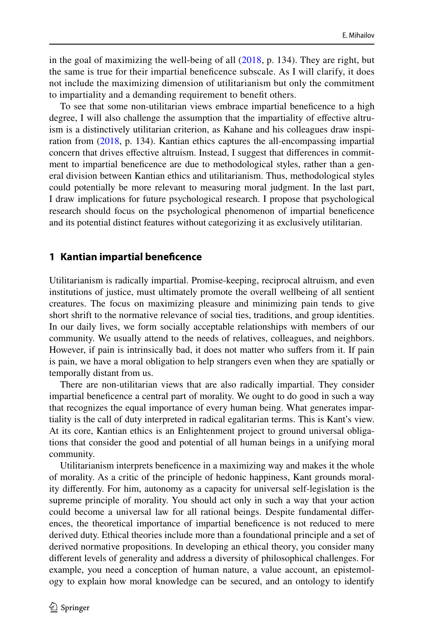in the goal of maximizing the well-being of all  $(2018, p. 134)$  $(2018, p. 134)$  $(2018, p. 134)$ . They are right, but the same is true for their impartial benefcence subscale. As I will clarify, it does not include the maximizing dimension of utilitarianism but only the commitment to impartiality and a demanding requirement to beneft others.

To see that some non-utilitarian views embrace impartial benefcence to a high degree, I will also challenge the assumption that the impartiality of efective altruism is a distinctively utilitarian criterion, as Kahane and his colleagues draw inspiration from ([2018,](#page-14-0) p. 134). Kantian ethics captures the all-encompassing impartial concern that drives efective altruism. Instead, I suggest that diferences in commitment to impartial benefcence are due to methodological styles, rather than a general division between Kantian ethics and utilitarianism. Thus, methodological styles could potentially be more relevant to measuring moral judgment. In the last part, I draw implications for future psychological research. I propose that psychological research should focus on the psychological phenomenon of impartial benefcence and its potential distinct features without categorizing it as exclusively utilitarian.

# **1 Kantian impartial benefcence**

Utilitarianism is radically impartial. Promise-keeping, reciprocal altruism, and even institutions of justice, must ultimately promote the overall wellbeing of all sentient creatures. The focus on maximizing pleasure and minimizing pain tends to give short shrift to the normative relevance of social ties, traditions, and group identities. In our daily lives, we form socially acceptable relationships with members of our community. We usually attend to the needs of relatives, colleagues, and neighbors. However, if pain is intrinsically bad, it does not matter who sufers from it. If pain is pain, we have a moral obligation to help strangers even when they are spatially or temporally distant from us.

There are non-utilitarian views that are also radically impartial. They consider impartial benefcence a central part of morality. We ought to do good in such a way that recognizes the equal importance of every human being. What generates impartiality is the call of duty interpreted in radical egalitarian terms. This is Kant's view. At its core, Kantian ethics is an Enlightenment project to ground universal obligations that consider the good and potential of all human beings in a unifying moral community.

Utilitarianism interprets benefcence in a maximizing way and makes it the whole of morality. As a critic of the principle of hedonic happiness, Kant grounds morality diferently. For him, autonomy as a capacity for universal self-legislation is the supreme principle of morality. You should act only in such a way that your action could become a universal law for all rational beings. Despite fundamental diferences, the theoretical importance of impartial benefcence is not reduced to mere derived duty. Ethical theories include more than a foundational principle and a set of derived normative propositions. In developing an ethical theory, you consider many diferent levels of generality and address a diversity of philosophical challenges. For example, you need a conception of human nature, a value account, an epistemology to explain how moral knowledge can be secured, and an ontology to identify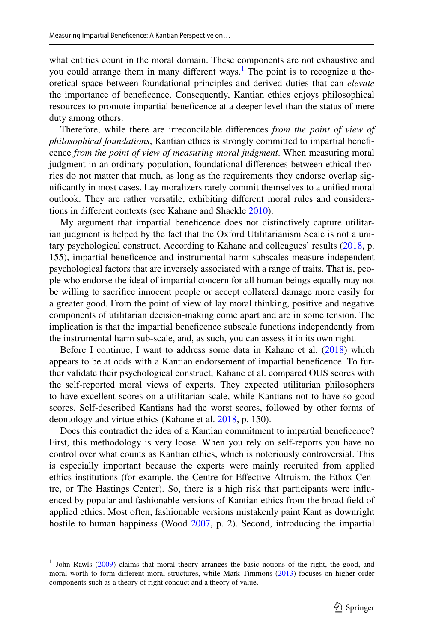what entities count in the moral domain. These components are not exhaustive and you could arrange them in many different ways.<sup>[1](#page-4-0)</sup> The point is to recognize a theoretical space between foundational principles and derived duties that can *elevate* the importance of benefcence. Consequently, Kantian ethics enjoys philosophical resources to promote impartial benefcence at a deeper level than the status of mere duty among others.

Therefore, while there are irreconcilable diferences *from the point of view of philosophical foundations*, Kantian ethics is strongly committed to impartial benefcence *from the point of view of measuring moral judgment*. When measuring moral judgment in an ordinary population, foundational diferences between ethical theories do not matter that much, as long as the requirements they endorse overlap signifcantly in most cases. Lay moralizers rarely commit themselves to a unifed moral outlook. They are rather versatile, exhibiting diferent moral rules and considerations in diferent contexts (see Kahane and Shackle [2010\)](#page-14-3).

My argument that impartial benefcence does not distinctively capture utilitarian judgment is helped by the fact that the Oxford Utilitarianism Scale is not a unitary psychological construct. According to Kahane and colleagues' results ([2018,](#page-14-0) p. 155), impartial benefcence and instrumental harm subscales measure independent psychological factors that are inversely associated with a range of traits. That is, people who endorse the ideal of impartial concern for all human beings equally may not be willing to sacrifce innocent people or accept collateral damage more easily for a greater good. From the point of view of lay moral thinking, positive and negative components of utilitarian decision-making come apart and are in some tension. The implication is that the impartial benefcence subscale functions independently from the instrumental harm sub-scale, and, as such, you can assess it in its own right.

Before I continue, I want to address some data in Kahane et al. ([2018\)](#page-14-0) which appears to be at odds with a Kantian endorsement of impartial benefcence. To further validate their psychological construct, Kahane et al. compared OUS scores with the self-reported moral views of experts. They expected utilitarian philosophers to have excellent scores on a utilitarian scale, while Kantians not to have so good scores. Self-described Kantians had the worst scores, followed by other forms of deontology and virtue ethics (Kahane et al. [2018,](#page-14-0) p. 150).

Does this contradict the idea of a Kantian commitment to impartial beneficence? First, this methodology is very loose. When you rely on self-reports you have no control over what counts as Kantian ethics, which is notoriously controversial. This is especially important because the experts were mainly recruited from applied ethics institutions (for example, the Centre for Efective Altruism, the Ethox Centre, or The Hastings Center). So, there is a high risk that participants were infuenced by popular and fashionable versions of Kantian ethics from the broad feld of applied ethics. Most often, fashionable versions mistakenly paint Kant as downright hostile to human happiness (Wood [2007](#page-15-0), p. 2). Second, introducing the impartial

<span id="page-4-0"></span><sup>1</sup> John Rawls [\(2009](#page-14-13)) claims that moral theory arranges the basic notions of the right, the good, and moral worth to form diferent moral structures, while Mark Timmons [\(2013](#page-15-1)) focuses on higher order components such as a theory of right conduct and a theory of value.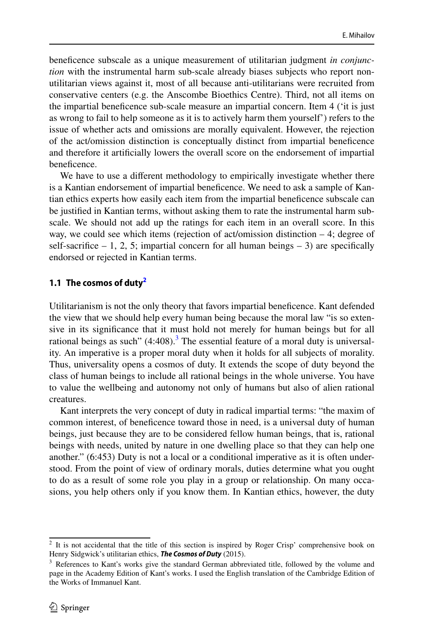benefcence subscale as a unique measurement of utilitarian judgment *in conjunction* with the instrumental harm sub-scale already biases subjects who report nonutilitarian views against it, most of all because anti-utilitarians were recruited from conservative centers (e.g. the Anscombe Bioethics Centre). Third, not all items on the impartial benefcence sub-scale measure an impartial concern. Item 4 ('it is just as wrong to fail to help someone as it is to actively harm them yourself') refers to the issue of whether acts and omissions are morally equivalent. However, the rejection of the act/omission distinction is conceptually distinct from impartial benefcence and therefore it artifcially lowers the overall score on the endorsement of impartial beneficence.

We have to use a different methodology to empirically investigate whether there is a Kantian endorsement of impartial benefcence. We need to ask a sample of Kantian ethics experts how easily each item from the impartial benefcence subscale can be justifed in Kantian terms, without asking them to rate the instrumental harm subscale. We should not add up the ratings for each item in an overall score. In this way, we could see which items (rejection of act/omission distinction – 4; degree of self-sacrifice  $-1$ , 2, 5; impartial concern for all human beings  $-3$ ) are specifically endorsed or rejected in Kantian terms.

#### **1.1 The cosmos of dut[y2](#page-5-0)**

Utilitarianism is not the only theory that favors impartial benefcence. Kant defended the view that we should help every human being because the moral law "is so extensive in its signifcance that it must hold not merely for human beings but for all rational beings as such"  $(4:408)$ .<sup>[3](#page-5-1)</sup> The essential feature of a moral duty is universality. An imperative is a proper moral duty when it holds for all subjects of morality. Thus, universality opens a cosmos of duty. It extends the scope of duty beyond the class of human beings to include all rational beings in the whole universe. You have to value the wellbeing and autonomy not only of humans but also of alien rational creatures.

Kant interprets the very concept of duty in radical impartial terms: "the maxim of common interest, of benefcence toward those in need, is a universal duty of human beings, just because they are to be considered fellow human beings, that is, rational beings with needs, united by nature in one dwelling place so that they can help one another." (6:453) Duty is not a local or a conditional imperative as it is often understood. From the point of view of ordinary morals, duties determine what you ought to do as a result of some role you play in a group or relationship. On many occasions, you help others only if you know them. In Kantian ethics, however, the duty

<span id="page-5-0"></span><sup>&</sup>lt;sup>2</sup> It is not accidental that the title of this section is inspired by Roger Crisp' comprehensive book on Henry Sidgwick's utilitarian ethics, *The Cosmos of Duty* (2015).

<span id="page-5-1"></span><sup>&</sup>lt;sup>3</sup> References to Kant's works give the standard German abbreviated title, followed by the volume and page in the Academy Edition of Kant's works. I used the English translation of the Cambridge Edition of the Works of Immanuel Kant.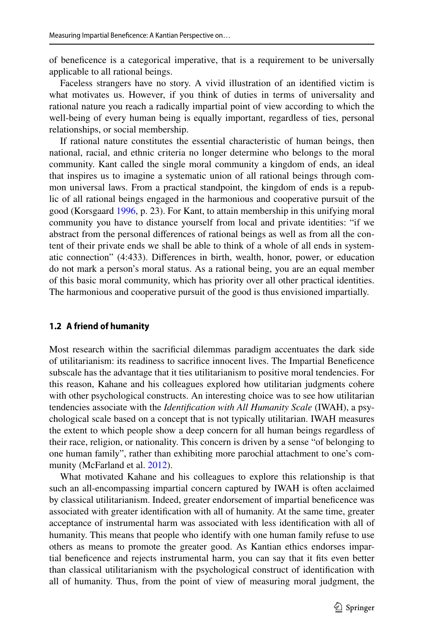of benefcence is a categorical imperative, that is a requirement to be universally applicable to all rational beings.

Faceless strangers have no story. A vivid illustration of an identifed victim is what motivates us. However, if you think of duties in terms of universality and rational nature you reach a radically impartial point of view according to which the well-being of every human being is equally important, regardless of ties, personal relationships, or social membership.

If rational nature constitutes the essential characteristic of human beings, then national, racial, and ethnic criteria no longer determine who belongs to the moral community. Kant called the single moral community a kingdom of ends, an ideal that inspires us to imagine a systematic union of all rational beings through common universal laws. From a practical standpoint, the kingdom of ends is a republic of all rational beings engaged in the harmonious and cooperative pursuit of the good (Korsgaard [1996,](#page-14-14) p. 23). For Kant, to attain membership in this unifying moral community you have to distance yourself from local and private identities: "if we abstract from the personal diferences of rational beings as well as from all the content of their private ends we shall be able to think of a whole of all ends in systematic connection" (4:433). Diferences in birth, wealth, honor, power, or education do not mark a person's moral status. As a rational being, you are an equal member of this basic moral community, which has priority over all other practical identities. The harmonious and cooperative pursuit of the good is thus envisioned impartially.

#### **1.2 A friend of humanity**

Most research within the sacrifcial dilemmas paradigm accentuates the dark side of utilitarianism: its readiness to sacrifce innocent lives. The Impartial Benefcence subscale has the advantage that it ties utilitarianism to positive moral tendencies. For this reason, Kahane and his colleagues explored how utilitarian judgments cohere with other psychological constructs. An interesting choice was to see how utilitarian tendencies associate with the *Identifcation with All Humanity Scale* (IWAH), a psychological scale based on a concept that is not typically utilitarian. IWAH measures the extent to which people show a deep concern for all human beings regardless of their race, religion, or nationality. This concern is driven by a sense "of belonging to one human family", rather than exhibiting more parochial attachment to one's community (McFarland et al. [2012](#page-14-15)).

What motivated Kahane and his colleagues to explore this relationship is that such an all-encompassing impartial concern captured by IWAH is often acclaimed by classical utilitarianism. Indeed, greater endorsement of impartial benefcence was associated with greater identifcation with all of humanity. At the same time, greater acceptance of instrumental harm was associated with less identifcation with all of humanity. This means that people who identify with one human family refuse to use others as means to promote the greater good. As Kantian ethics endorses impartial benefcence and rejects instrumental harm, you can say that it fts even better than classical utilitarianism with the psychological construct of identifcation with all of humanity. Thus, from the point of view of measuring moral judgment, the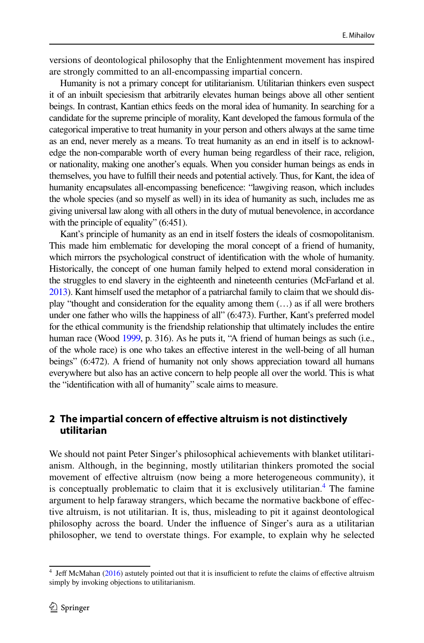versions of deontological philosophy that the Enlightenment movement has inspired are strongly committed to an all-encompassing impartial concern.

Humanity is not a primary concept for utilitarianism. Utilitarian thinkers even suspect it of an inbuilt speciesism that arbitrarily elevates human beings above all other sentient beings. In contrast, Kantian ethics feeds on the moral idea of humanity. In searching for a candidate for the supreme principle of morality, Kant developed the famous formula of the categorical imperative to treat humanity in your person and others always at the same time as an end, never merely as a means. To treat humanity as an end in itself is to acknowledge the non-comparable worth of every human being regardless of their race, religion, or nationality, making one another's equals. When you consider human beings as ends in themselves, you have to fulfll their needs and potential actively. Thus, for Kant, the idea of humanity encapsulates all-encompassing benefcence: "lawgiving reason, which includes the whole species (and so myself as well) in its idea of humanity as such, includes me as giving universal law along with all others in the duty of mutual benevolence, in accordance with the principle of equality" (6:451).

Kant's principle of humanity as an end in itself fosters the ideals of cosmopolitanism. This made him emblematic for developing the moral concept of a friend of humanity, which mirrors the psychological construct of identification with the whole of humanity. Historically, the concept of one human family helped to extend moral consideration in the struggles to end slavery in the eighteenth and nineteenth centuries (McFarland et al. [2013](#page-14-16)). Kant himself used the metaphor of a patriarchal family to claim that we should display "thought and consideration for the equality among them (…) as if all were brothers under one father who wills the happiness of all" (6:473). Further, Kant's preferred model for the ethical community is the friendship relationship that ultimately includes the entire human race (Wood [1999,](#page-15-2) p. 316). As he puts it, "A friend of human beings as such (i.e., of the whole race) is one who takes an efective interest in the well-being of all human beings" (6:472). A friend of humanity not only shows appreciation toward all humans everywhere but also has an active concern to help people all over the world. This is what the "identifcation with all of humanity" scale aims to measure.

# **2 The impartial concern of efective altruism is not distinctively utilitarian**

We should not paint Peter Singer's philosophical achievements with blanket utilitarianism. Although, in the beginning, mostly utilitarian thinkers promoted the social movement of efective altruism (now being a more heterogeneous community), it is conceptually problematic to claim that it is exclusively utilitarian.<sup>4</sup> The famine argument to help faraway strangers, which became the normative backbone of efective altruism, is not utilitarian. It is, thus, misleading to pit it against deontological philosophy across the board. Under the infuence of Singer's aura as a utilitarian philosopher, we tend to overstate things. For example, to explain why he selected

<span id="page-7-0"></span> $4$  Jeff McMahan ([2016\)](#page-14-17) astutely pointed out that it is insufficient to refute the claims of effective altruism simply by invoking objections to utilitarianism.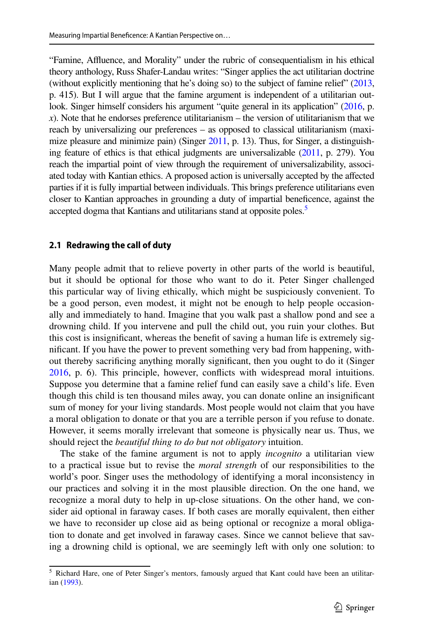"Famine, Affluence, and Morality" under the rubric of consequentialism in his ethical theory anthology, Russ Shafer-Landau writes: "Singer applies the act utilitarian doctrine (without explicitly mentioning that he's doing so) to the subject of famine relief" ([2013,](#page-14-18) p. 415). But I will argue that the famine argument is independent of a utilitarian out-look. Singer himself considers his argument "quite general in its application" ([2016,](#page-15-3) p. *). Note that he endorses preference utilitarianism – the version of utilitarianism that we* reach by universalizing our preferences – as opposed to classical utilitarianism (maxi-mize pleasure and minimize pain) (Singer [2011](#page-15-4), p. 13). Thus, for Singer, a distinguishing feature of ethics is that ethical judgments are universalizable [\(2011](#page-15-4), p. 279). You reach the impartial point of view through the requirement of universalizability, associated today with Kantian ethics. A proposed action is universally accepted by the afected parties if it is fully impartial between individuals. This brings preference utilitarians even closer to Kantian approaches in grounding a duty of impartial benefcence, against the accepted dogma that Kantians and utilitarians stand at opposite poles.<sup>[5](#page-8-0)</sup>

### **2.1 Redrawing the call of duty**

Many people admit that to relieve poverty in other parts of the world is beautiful, but it should be optional for those who want to do it. Peter Singer challenged this particular way of living ethically, which might be suspiciously convenient. To be a good person, even modest, it might not be enough to help people occasionally and immediately to hand. Imagine that you walk past a shallow pond and see a drowning child. If you intervene and pull the child out, you ruin your clothes. But this cost is insignifcant, whereas the beneft of saving a human life is extremely signifcant. If you have the power to prevent something very bad from happening, without thereby sacrifcing anything morally signifcant, then you ought to do it (Singer [2016](#page-15-3), p. 6). This principle, however, conficts with widespread moral intuitions. Suppose you determine that a famine relief fund can easily save a child's life. Even though this child is ten thousand miles away, you can donate online an insignifcant sum of money for your living standards. Most people would not claim that you have a moral obligation to donate or that you are a terrible person if you refuse to donate. However, it seems morally irrelevant that someone is physically near us. Thus, we should reject the *beautiful thing to do but not obligatory* intuition.

The stake of the famine argument is not to apply *incognito* a utilitarian view to a practical issue but to revise the *moral strength* of our responsibilities to the world's poor. Singer uses the methodology of identifying a moral inconsistency in our practices and solving it in the most plausible direction. On the one hand, we recognize a moral duty to help in up-close situations. On the other hand, we consider aid optional in faraway cases. If both cases are morally equivalent, then either we have to reconsider up close aid as being optional or recognize a moral obligation to donate and get involved in faraway cases. Since we cannot believe that saving a drowning child is optional, we are seemingly left with only one solution: to

<span id="page-8-0"></span><sup>&</sup>lt;sup>5</sup> Richard Hare, one of Peter Singer's mentors, famously argued that Kant could have been an utilitarian [\(1993](#page-14-19)).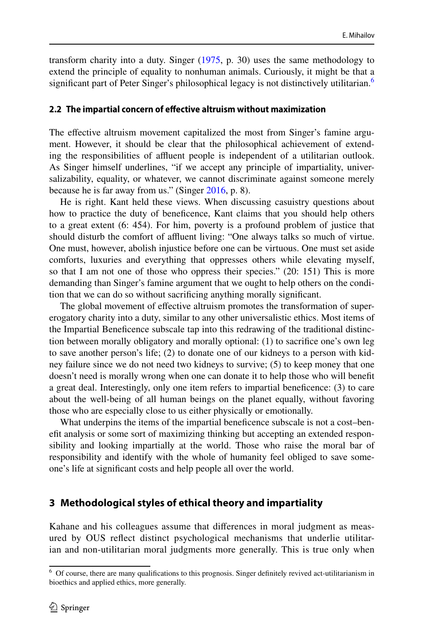transform charity into a duty. Singer ([1975,](#page-15-5) p. 30) uses the same methodology to extend the principle of equality to nonhuman animals. Curiously, it might be that a significant part of Peter Singer's philosophical legacy is not distinctively utilitarian.<sup>[6](#page-9-0)</sup>

#### **2.2 The impartial concern of efective altruism without maximization**

The efective altruism movement capitalized the most from Singer's famine argument. However, it should be clear that the philosophical achievement of extending the responsibilities of affluent people is independent of a utilitarian outlook. As Singer himself underlines, "if we accept any principle of impartiality, universalizability, equality, or whatever, we cannot discriminate against someone merely because he is far away from us." (Singer [2016,](#page-15-3) p. 8).

He is right. Kant held these views. When discussing casuistry questions about how to practice the duty of benefcence, Kant claims that you should help others to a great extent (6: 454). For him, poverty is a profound problem of justice that should disturb the comfort of affluent living: "One always talks so much of virtue. One must, however, abolish injustice before one can be virtuous. One must set aside comforts, luxuries and everything that oppresses others while elevating myself, so that I am not one of those who oppress their species." (20: 151) This is more demanding than Singer's famine argument that we ought to help others on the condition that we can do so without sacrifcing anything morally signifcant.

The global movement of efective altruism promotes the transformation of supererogatory charity into a duty, similar to any other universalistic ethics. Most items of the Impartial Benefcence subscale tap into this redrawing of the traditional distinction between morally obligatory and morally optional: (1) to sacrifce one's own leg to save another person's life; (2) to donate one of our kidneys to a person with kidney failure since we do not need two kidneys to survive; (5) to keep money that one doesn't need is morally wrong when one can donate it to help those who will beneft a great deal. Interestingly, only one item refers to impartial benefcence: (3) to care about the well-being of all human beings on the planet equally, without favoring those who are especially close to us either physically or emotionally.

What underpins the items of the impartial beneficence subscale is not a cost–beneft analysis or some sort of maximizing thinking but accepting an extended responsibility and looking impartially at the world. Those who raise the moral bar of responsibility and identify with the whole of humanity feel obliged to save someone's life at signifcant costs and help people all over the world.

# **3 Methodological styles of ethical theory and impartiality**

Kahane and his colleagues assume that diferences in moral judgment as measured by OUS refect distinct psychological mechanisms that underlie utilitarian and non-utilitarian moral judgments more generally. This is true only when

<span id="page-9-0"></span><sup>&</sup>lt;sup>6</sup> Of course, there are many qualifications to this prognosis. Singer definitely revived act-utilitarianism in bioethics and applied ethics, more generally.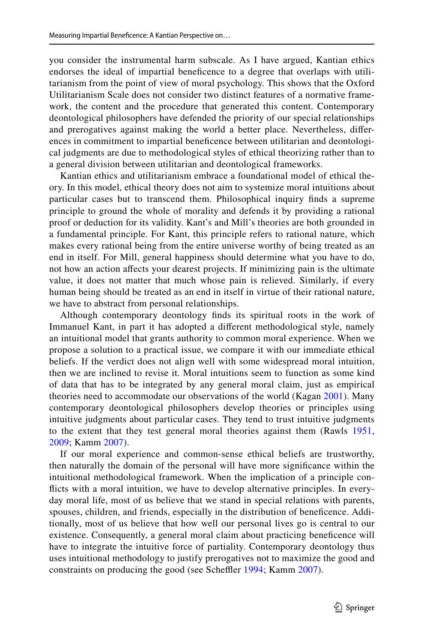you consider the instrumental harm subscale. As I have argued, Kantian ethics endorses the ideal of impartial benefcence to a degree that overlaps with utilitarianism from the point of view of moral psychology. This shows that the Oxford Utilitarianism Scale does not consider two distinct features of a normative framework, the content and the procedure that generated this content. Contemporary deontological philosophers have defended the priority of our special relationships and prerogatives against making the world a better place. Nevertheless, diferences in commitment to impartial benefcence between utilitarian and deontological judgments are due to methodological styles of ethical theorizing rather than to a general division between utilitarian and deontological frameworks.

Kantian ethics and utilitarianism embrace a foundational model of ethical theory. In this model, ethical theory does not aim to systemize moral intuitions about particular cases but to transcend them. Philosophical inquiry fnds a supreme principle to ground the whole of morality and defends it by providing a rational proof or deduction for its validity. Kant's and Mill's theories are both grounded in a fundamental principle. For Kant, this principle refers to rational nature, which makes every rational being from the entire universe worthy of being treated as an end in itself. For Mill, general happiness should determine what you have to do, not how an action afects your dearest projects. If minimizing pain is the ultimate value, it does not matter that much whose pain is relieved. Similarly, if every human being should be treated as an end in itself in virtue of their rational nature, we have to abstract from personal relationships.

Although contemporary deontology fnds its spiritual roots in the work of Immanuel Kant, in part it has adopted a diferent methodological style, namely an intuitional model that grants authority to common moral experience. When we propose a solution to a practical issue, we compare it with our immediate ethical beliefs. If the verdict does not align well with some widespread moral intuition, then we are inclined to revise it. Moral intuitions seem to function as some kind of data that has to be integrated by any general moral claim, just as empirical theories need to accommodate our observations of the world (Kagan [2001](#page-14-20)). Many contemporary deontological philosophers develop theories or principles using intuitive judgments about particular cases. They tend to trust intuitive judgments to the extent that they test general moral theories against them (Rawls [1951,](#page-14-21) [2009;](#page-14-13) Kamm [2007](#page-14-22)).

If our moral experience and common-sense ethical beliefs are trustworthy, then naturally the domain of the personal will have more signifcance within the intuitional methodological framework. When the implication of a principle conficts with a moral intuition, we have to develop alternative principles. In everyday moral life, most of us believe that we stand in special relations with parents, spouses, children, and friends, especially in the distribution of benefcence. Additionally, most of us believe that how well our personal lives go is central to our existence. Consequently, a general moral claim about practicing benefcence will have to integrate the intuitive force of partiality. Contemporary deontology thus uses intuitional methodology to justify prerogatives not to maximize the good and constraints on producing the good (see Scheffler [1994](#page-15-6); Kamm [2007\)](#page-14-22).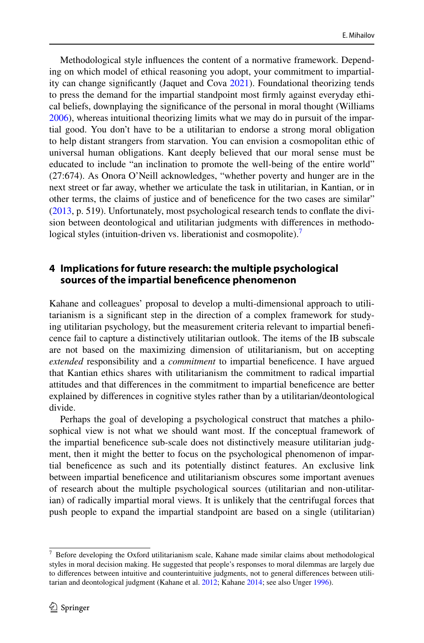Methodological style infuences the content of a normative framework. Depending on which model of ethical reasoning you adopt, your commitment to impartiality can change signifcantly (Jaquet and Cova [2021](#page-14-10)). Foundational theorizing tends to press the demand for the impartial standpoint most frmly against everyday ethical beliefs, downplaying the signifcance of the personal in moral thought (Williams [2006](#page-15-7)), whereas intuitional theorizing limits what we may do in pursuit of the impartial good. You don't have to be a utilitarian to endorse a strong moral obligation to help distant strangers from starvation. You can envision a cosmopolitan ethic of universal human obligations. Kant deeply believed that our moral sense must be educated to include "an inclination to promote the well-being of the entire world" (27:674). As Onora O'Neill acknowledges, "whether poverty and hunger are in the next street or far away, whether we articulate the task in utilitarian, in Kantian, or in other terms, the claims of justice and of benefcence for the two cases are similar" [\(2013](#page-14-11), p. 519). Unfortunately, most psychological research tends to confate the division between deontological and utilitarian judgments with diferences in methodo-logical styles (intuition-driven vs. liberationist and cosmopolite).<sup>[7](#page-11-0)</sup>

# **4 Implications for future research: the multiple psychological sources of the impartial benefcence phenomenon**

Kahane and colleagues' proposal to develop a multi-dimensional approach to utilitarianism is a signifcant step in the direction of a complex framework for studying utilitarian psychology, but the measurement criteria relevant to impartial benefcence fail to capture a distinctively utilitarian outlook. The items of the IB subscale are not based on the maximizing dimension of utilitarianism, but on accepting *extended* responsibility and a *commitment* to impartial benefcence. I have argued that Kantian ethics shares with utilitarianism the commitment to radical impartial attitudes and that diferences in the commitment to impartial benefcence are better explained by diferences in cognitive styles rather than by a utilitarian/deontological divide.

Perhaps the goal of developing a psychological construct that matches a philosophical view is not what we should want most. If the conceptual framework of the impartial benefcence sub-scale does not distinctively measure utilitarian judgment, then it might the better to focus on the psychological phenomenon of impartial benefcence as such and its potentially distinct features. An exclusive link between impartial benefcence and utilitarianism obscures some important avenues of research about the multiple psychological sources (utilitarian and non-utilitarian) of radically impartial moral views. It is unlikely that the centrifugal forces that push people to expand the impartial standpoint are based on a single (utilitarian)

<span id="page-11-0"></span> $7$  Before developing the Oxford utilitarianism scale, Kahane made similar claims about methodological styles in moral decision making. He suggested that people's responses to moral dilemmas are largely due to diferences between intuitive and counterintuitive judgments, not to general diferences between utilitarian and deontological judgment (Kahane et al. [2012](#page-14-23); Kahane [2014](#page-14-24); see also Unger [1996](#page-15-8)).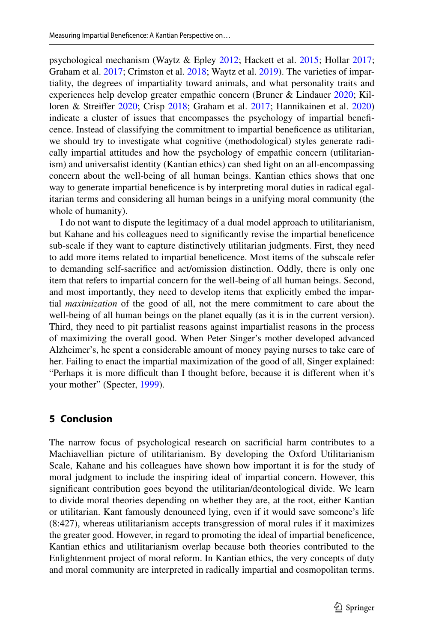psychological mechanism (Waytz & Epley [2012](#page-15-9); Hackett et al. [2015;](#page-13-6) Hollar [2017;](#page-14-25) Graham et al. [2017](#page-13-7); Crimston et al. [2018](#page-13-8); Waytz et al. [2019\)](#page-15-10). The varieties of impartiality, the degrees of impartiality toward animals, and what personality traits and experiences help develop greater empathic concern (Bruner & Lindauer [2020](#page-13-9); Killoren & Streifer [2020;](#page-14-26) Crisp [2018](#page-13-10); Graham et al. [2017](#page-13-7); Hannikainen et al. [2020](#page-14-27)) indicate a cluster of issues that encompasses the psychology of impartial benefcence. Instead of classifying the commitment to impartial benefcence as utilitarian, we should try to investigate what cognitive (methodological) styles generate radically impartial attitudes and how the psychology of empathic concern (utilitarianism) and universalist identity (Kantian ethics) can shed light on an all-encompassing concern about the well-being of all human beings. Kantian ethics shows that one way to generate impartial benefcence is by interpreting moral duties in radical egalitarian terms and considering all human beings in a unifying moral community (the whole of humanity).

I do not want to dispute the legitimacy of a dual model approach to utilitarianism, but Kahane and his colleagues need to signifcantly revise the impartial benefcence sub-scale if they want to capture distinctively utilitarian judgments. First, they need to add more items related to impartial benefcence. Most items of the subscale refer to demanding self-sacrifce and act/omission distinction. Oddly, there is only one item that refers to impartial concern for the well-being of all human beings. Second, and most importantly, they need to develop items that explicitly embed the impartial *maximization* of the good of all, not the mere commitment to care about the well-being of all human beings on the planet equally (as it is in the current version). Third, they need to pit partialist reasons against impartialist reasons in the process of maximizing the overall good. When Peter Singer's mother developed advanced Alzheimer's, he spent a considerable amount of money paying nurses to take care of her. Failing to enact the impartial maximization of the good of all, Singer explained: "Perhaps it is more difficult than I thought before, because it is different when it's your mother" (Specter, [1999](#page-15-11)).

#### **5 Conclusion**

The narrow focus of psychological research on sacrifcial harm contributes to a Machiavellian picture of utilitarianism. By developing the Oxford Utilitarianism Scale, Kahane and his colleagues have shown how important it is for the study of moral judgment to include the inspiring ideal of impartial concern. However, this signifcant contribution goes beyond the utilitarian/deontological divide. We learn to divide moral theories depending on whether they are, at the root, either Kantian or utilitarian. Kant famously denounced lying, even if it would save someone's life (8:427), whereas utilitarianism accepts transgression of moral rules if it maximizes the greater good. However, in regard to promoting the ideal of impartial benefcence, Kantian ethics and utilitarianism overlap because both theories contributed to the Enlightenment project of moral reform. In Kantian ethics, the very concepts of duty and moral community are interpreted in radically impartial and cosmopolitan terms.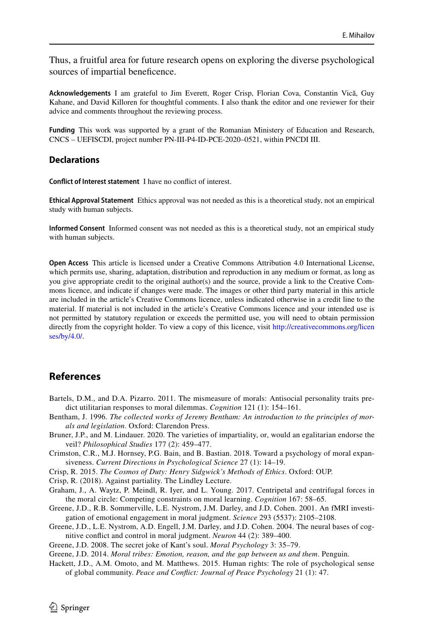Thus, a fruitful area for future research opens on exploring the diverse psychological sources of impartial beneficence.

**Acknowledgements** I am grateful to Jim Everett, Roger Crisp, Florian Cova, Constantin Vică, Guy Kahane, and David Killoren for thoughtful comments. I also thank the editor and one reviewer for their advice and comments throughout the reviewing process.

**Funding** This work was supported by a grant of the Romanian Ministery of Education and Research, CNCS – UEFISCDI, project number PN-III-P4-ID-PCE-2020–0521, within PNCDI III.

#### **Declarations**

**Confict of Interest statement** I have no confict of interest.

**Ethical Approval Statement** Ethics approval was not needed as this is a theoretical study, not an empirical study with human subjects.

**Informed Consent** Informed consent was not needed as this is a theoretical study, not an empirical study with human subjects.

**Open Access** This article is licensed under a Creative Commons Attribution 4.0 International License, which permits use, sharing, adaptation, distribution and reproduction in any medium or format, as long as you give appropriate credit to the original author(s) and the source, provide a link to the Creative Commons licence, and indicate if changes were made. The images or other third party material in this article are included in the article's Creative Commons licence, unless indicated otherwise in a credit line to the material. If material is not included in the article's Creative Commons licence and your intended use is not permitted by statutory regulation or exceeds the permitted use, you will need to obtain permission directly from the copyright holder. To view a copy of this licence, visit [http://creativecommons.org/licen](http://creativecommons.org/licenses/by/4.0/) [ses/by/4.0/](http://creativecommons.org/licenses/by/4.0/).

# **References**

- <span id="page-13-5"></span>Bartels, D.M., and D.A. Pizarro. 2011. The mismeasure of morals: Antisocial personality traits predict utilitarian responses to moral dilemmas. *Cognition* 121 (1): 154–161.
- <span id="page-13-0"></span>Bentham, J. 1996. *The collected works of Jeremy Bentham: An introduction to the principles of morals and legislation*. Oxford: Clarendon Press.
- <span id="page-13-9"></span>Bruner, J.P., and M. Lindauer. 2020. The varieties of impartiality, or, would an egalitarian endorse the veil? *Philosophical Studies* 177 (2): 459–477.
- <span id="page-13-8"></span>Crimston, C.R., M.J. Hornsey, P.G. Bain, and B. Bastian. 2018. Toward a psychology of moral expansiveness. *Current Directions in Psychological Science* 27 (1): 14–19.
- Crisp, R. 2015. *The Cosmos of Duty: Henry Sidgwick's Methods of Ethics*. Oxford: OUP.

<span id="page-13-10"></span>Crisp, R. (2018). Against partiality. The Lindley Lecture.

- <span id="page-13-7"></span>Graham, J., A. Waytz, P. Meindl, R. Iyer, and L. Young. 2017. Centripetal and centrifugal forces in the moral circle: Competing constraints on moral learning. *Cognition* 167: 58–65.
- <span id="page-13-1"></span>Greene, J.D., R.B. Sommerville, L.E. Nystrom, J.M. Darley, and J.D. Cohen. 2001. An fMRI investigation of emotional engagement in moral judgment. *Science* 293 (5537): 2105–2108.
- <span id="page-13-2"></span>Greene, J.D., L.E. Nystrom, A.D. Engell, J.M. Darley, and J.D. Cohen. 2004. The neural bases of cognitive confict and control in moral judgment. *Neuron* 44 (2): 389–400.
- <span id="page-13-4"></span>Greene, J.D. 2008. The secret joke of Kant's soul. *Moral Psychology* 3: 35–79.

<span id="page-13-3"></span>Greene, J.D. 2014. *Moral tribes: Emotion, reason, and the gap between us and them*. Penguin.

<span id="page-13-6"></span>Hackett, J.D., A.M. Omoto, and M. Matthews. 2015. Human rights: The role of psychological sense of global community. *Peace and Confict: Journal of Peace Psychology* 21 (1): 47.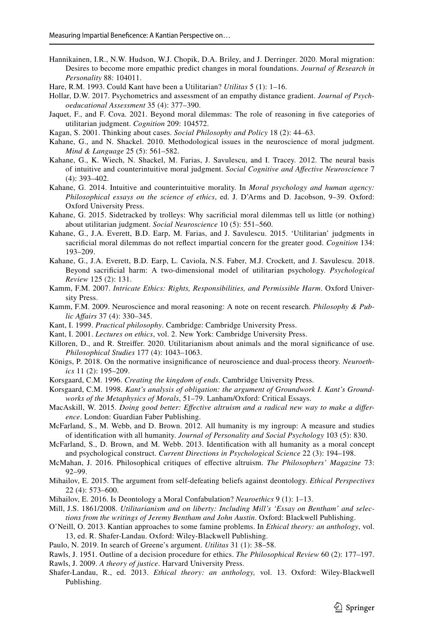- <span id="page-14-27"></span>Hannikainen, I.R., N.W. Hudson, W.J. Chopik, D.A. Briley, and J. Derringer. 2020. Moral migration: Desires to become more empathic predict changes in moral foundations. *Journal of Research in Personality* 88: 104011.
- <span id="page-14-19"></span>Hare, R.M. 1993. Could Kant have been a Utilitarian? *Utilitas* 5 (1): 1–16.
- <span id="page-14-25"></span>Hollar, D.W. 2017. Psychometrics and assessment of an empathy distance gradient. *Journal of Psychoeducational Assessment* 35 (4): 377–390.
- <span id="page-14-10"></span>Jaquet, F., and F. Cova. 2021. Beyond moral dilemmas: The role of reasoning in fve categories of utilitarian judgment. *Cognition* 209: 104572.
- <span id="page-14-20"></span>Kagan, S. 2001. Thinking about cases. *Social Philosophy and Policy* 18 (2): 44–63.
- <span id="page-14-3"></span>Kahane, G., and N. Shackel. 2010. Methodological issues in the neuroscience of moral judgment. *Mind & Language* 25 (5): 561–582.
- <span id="page-14-23"></span>Kahane, G., K. Wiech, N. Shackel, M. Farias, J. Savulescu, and I. Tracey. 2012. The neural basis of intuitive and counterintuitive moral judgment. *Social Cognitive and Afective Neuroscience* 7 (4): 393–402.
- <span id="page-14-24"></span>Kahane, G. 2014. Intuitive and counterintuitive morality. In *Moral psychology and human agency: Philosophical essays on the science of ethics*, ed. J. D'Arms and D. Jacobson, 9–39. Oxford: Oxford University Press.
- <span id="page-14-4"></span>Kahane, G. 2015. Sidetracked by trolleys: Why sacrifcial moral dilemmas tell us little (or nothing) about utilitarian judgment. *Social Neuroscience* 10 (5): 551–560.
- <span id="page-14-9"></span>Kahane, G., J.A. Everett, B.D. Earp, M. Farias, and J. Savulescu. 2015. 'Utilitarian' judgments in sacrifcial moral dilemmas do not refect impartial concern for the greater good. *Cognition* 134: 193–209.
- <span id="page-14-0"></span>Kahane, G., J.A. Everett, B.D. Earp, L. Caviola, N.S. Faber, M.J. Crockett, and J. Savulescu. 2018. Beyond sacrifcial harm: A two-dimensional model of utilitarian psychology. *Psychological Review* 125 (2): 131.
- <span id="page-14-22"></span>Kamm, F.M. 2007. *Intricate Ethics: Rights, Responsibilities, and Permissible Harm*. Oxford University Press.
- <span id="page-14-2"></span>Kamm, F.M. 2009. Neuroscience and moral reasoning: A note on recent research. *Philosophy & Public Afairs* 37 (4): 330–345.
- Kant, I. 1999. *Practical philosophy*. Cambridge: Cambridge University Press.
- Kant, I. 2001. *Lectures on ethics*, vol. 2. New York: Cambridge University Press.
- <span id="page-14-26"></span>Killoren, D., and R. Streiffer. 2020. Utilitarianism about animals and the moral significance of use. *Philosophical Studies* 177 (4): 1043–1063.
- <span id="page-14-7"></span>Königs, P. 2018. On the normative insignifcance of neuroscience and dual-process theory. *Neuroethics* 11 (2): 195–209.
- <span id="page-14-14"></span>Korsgaard, C.M. 1996. *Creating the kingdom of ends*. Cambridge University Press.
- <span id="page-14-12"></span>Korsgaard, C.M. 1998. *Kant's analysis of obligation: the argument of Groundwork I. Kant's Groundworks of the Metaphysics of Morals*, 51–79. Lanham/Oxford: Critical Essays.
- MacAskill, W. 2015. *Doing good better: Efective altruism and a radical new way to make a diference*. London: Guardian Faber Publishing.
- <span id="page-14-15"></span>McFarland, S., M. Webb, and D. Brown. 2012. All humanity is my ingroup: A measure and studies of identifcation with all humanity. *Journal of Personality and Social Psychology* 103 (5): 830.
- <span id="page-14-16"></span>McFarland, S., D. Brown, and M. Webb. 2013. Identifcation with all humanity as a moral concept and psychological construct. *Current Directions in Psychological Science* 22 (3): 194–198.
- <span id="page-14-17"></span>McMahan, J. 2016. Philosophical critiques of efective altruism. *The Philosophers' Magazine* 73: 92–99.
- <span id="page-14-5"></span>Mihailov, E. 2015. The argument from self-defeating beliefs against deontology. *Ethical Perspectives* 22 (4): 573–600.
- <span id="page-14-6"></span>Mihailov, E. 2016. Is Deontology a Moral Confabulation? *Neuroethics* 9 (1): 1–13.
- <span id="page-14-1"></span>Mill, J.S. 1861/2008. *Utilitarianism and on liberty: Including Mill's 'Essay on Bentham' and selections from the writings of Jeremy Bentham and John Austin*. Oxford: Blackwell Publishing.
- <span id="page-14-11"></span>O'Neill, O. 2013. Kantian approaches to some famine problems. In *Ethical theory: an anthology*, vol. 13, ed. R. Shafer-Landau. Oxford: Wiley-Blackwell Publishing.
- <span id="page-14-8"></span>Paulo, N. 2019. In search of Greene's argument. *Utilitas* 31 (1): 38–58.

<span id="page-14-21"></span>Rawls, J. 1951. Outline of a decision procedure for ethics. *The Philosophical Review* 60 (2): 177–197.

- <span id="page-14-13"></span>Rawls, J. 2009. *A theory of justice*. Harvard University Press.
- <span id="page-14-18"></span>Shafer-Landau, R., ed. 2013. *Ethical theory: an anthology,* vol. 13. Oxford: Wiley-Blackwell Publishing.